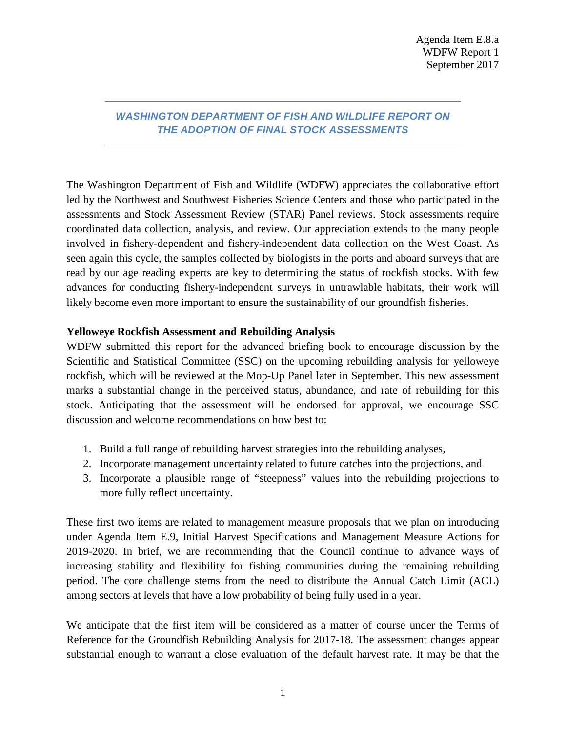## *WASHINGTON DEPARTMENT OF FISH AND WILDLIFE REPORT ON THE ADOPTION OF FINAL STOCK ASSESSMENTS*

The Washington Department of Fish and Wildlife (WDFW) appreciates the collaborative effort led by the Northwest and Southwest Fisheries Science Centers and those who participated in the assessments and Stock Assessment Review (STAR) Panel reviews. Stock assessments require coordinated data collection, analysis, and review. Our appreciation extends to the many people involved in fishery-dependent and fishery-independent data collection on the West Coast. As seen again this cycle, the samples collected by biologists in the ports and aboard surveys that are read by our age reading experts are key to determining the status of rockfish stocks. With few advances for conducting fishery-independent surveys in untrawlable habitats, their work will likely become even more important to ensure the sustainability of our groundfish fisheries.

## **Yelloweye Rockfish Assessment and Rebuilding Analysis**

WDFW submitted this report for the advanced briefing book to encourage discussion by the Scientific and Statistical Committee (SSC) on the upcoming rebuilding analysis for yelloweye rockfish, which will be reviewed at the Mop-Up Panel later in September. This new assessment marks a substantial change in the perceived status, abundance, and rate of rebuilding for this stock. Anticipating that the assessment will be endorsed for approval, we encourage SSC discussion and welcome recommendations on how best to:

- 1. Build a full range of rebuilding harvest strategies into the rebuilding analyses,
- 2. Incorporate management uncertainty related to future catches into the projections, and
- 3. Incorporate a plausible range of "steepness" values into the rebuilding projections to more fully reflect uncertainty.

These first two items are related to management measure proposals that we plan on introducing under Agenda Item E.9, Initial Harvest Specifications and Management Measure Actions for 2019-2020. In brief, we are recommending that the Council continue to advance ways of increasing stability and flexibility for fishing communities during the remaining rebuilding period. The core challenge stems from the need to distribute the Annual Catch Limit (ACL) among sectors at levels that have a low probability of being fully used in a year.

We anticipate that the first item will be considered as a matter of course under the Terms of Reference for the Groundfish Rebuilding Analysis for 2017-18. The assessment changes appear substantial enough to warrant a close evaluation of the default harvest rate. It may be that the